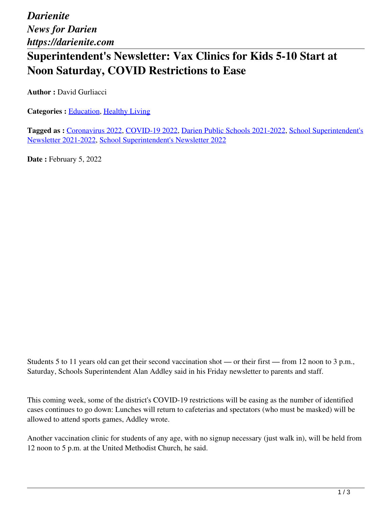*Darienite News for Darien https://darienite.com*

## **Superintendent's Newsletter: Vax Clinics for Kids 5-10 Start at Noon Saturday, COVID Restrictions to Ease**

**Author :** David Gurliacci

**Categories :** [Education,](https://darienite.com/category/news/education) Healthy Living

**Tagged as :** Coronavirus 2022, COVID-19 2022, Darien Public Schools 2021-2022, School Superintendent's Newsletter 2021-2022, School Superintendent's Newsletter 2022

**Date : February 5, 2022** 

Students 5 to 11 years old can get their second vaccination shot — or their first — from 12 noon to 3 p.m., Saturday, Schools Superintendent Alan Addley said in his Friday newsletter to parents and staff.

This coming week, some of the district's COVID-19 restrictions will be easing as the number of identified cases continues to go down: Lunches will return to cafeterias and spectators (who must be masked) will be allowed to attend sports games, Addley wrote.

Another vaccination clinic for students of any age, with no signup necessary (just walk in), will be held from 12 noon to 5 p.m. at the United Methodist Church, he said.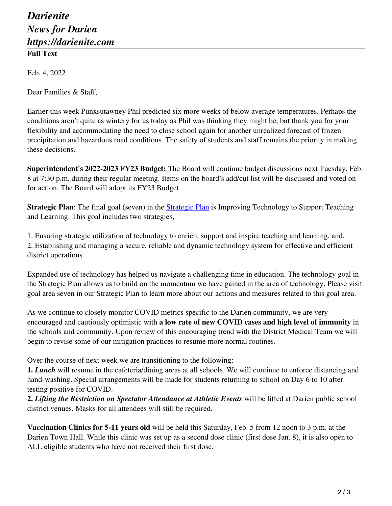## *Darienite News for Darien https://darienite.com* **Full Text**

Feb. 4, 2022

Dear Families & Staff,

Earlier this week Punxsutawney Phil predicted six more weeks of below average temperatures. Perhaps the conditions aren't quite as wintery for us today as Phil was thinking they might be, but thank you for your flexibility and accommodating the need to close school again for another unrealized forecast of frozen precipitation and hazardous road conditions. The safety of students and staff remains the priority in making these decisions.

**Superintendent's 2022-2023 FY23 Budget:** The Board will continue budget discussions next Tuesday, Feb. 8 at 7:30 p.m. during their regular meeting. Items on the board's add/cut list will be discussed and voted on for action. The Board will adopt its FY23 Budget.

**Strategic Plan**: The final goal (seven) in the **Strategic Plan** is Improving Technology to Support Teaching and Learning. This goal includes two strategies,

1. Ensuring strategic utilization of technology to enrich, support and inspire teaching and learning, and, 2. Establishing and managing a secure, reliable and dynamic technology system for effective and efficient district operations.

Expanded use of technology has helped us navigate a challenging time in education. The technology goal in the Strategic Plan allows us to build on the momentum we have gained in the area of technology. Please visit goal area seven in our Strategic Plan to learn more about our actions and measures related to this goal area.

As we continue to closely monitor COVID metrics specific to the Darien community, we are very encouraged and cautiously optimistic with **a low rate of new COVID cases and high level of immunity** in the schools and community. Upon review of this encouraging trend with the District Medical Team we will begin to revise some of our mitigation practices to resume more normal routines.

Over the course of next week we are transitioning to the following:

**1.** *Lunch* will resume in the cafeteria/dining areas at all schools. We will continue to enforce distancing and hand-washing. Special arrangements will be made for students returning to school on Day 6 to 10 after testing positive for COVID.

**2.** *Lifting the Restriction on Spectator Attendance at Athletic Events* will be lifted at Darien public school district venues. Masks for all attendees will still be required.

**Vaccination Clinics for 5-11 years old** will be held this Saturday, Feb. 5 from 12 noon to 3 p.m. at the Darien Town Hall. While this clinic was set up as a second dose clinic (first dose Jan. 8), it is also open to ALL eligible students who have not received their first dose.